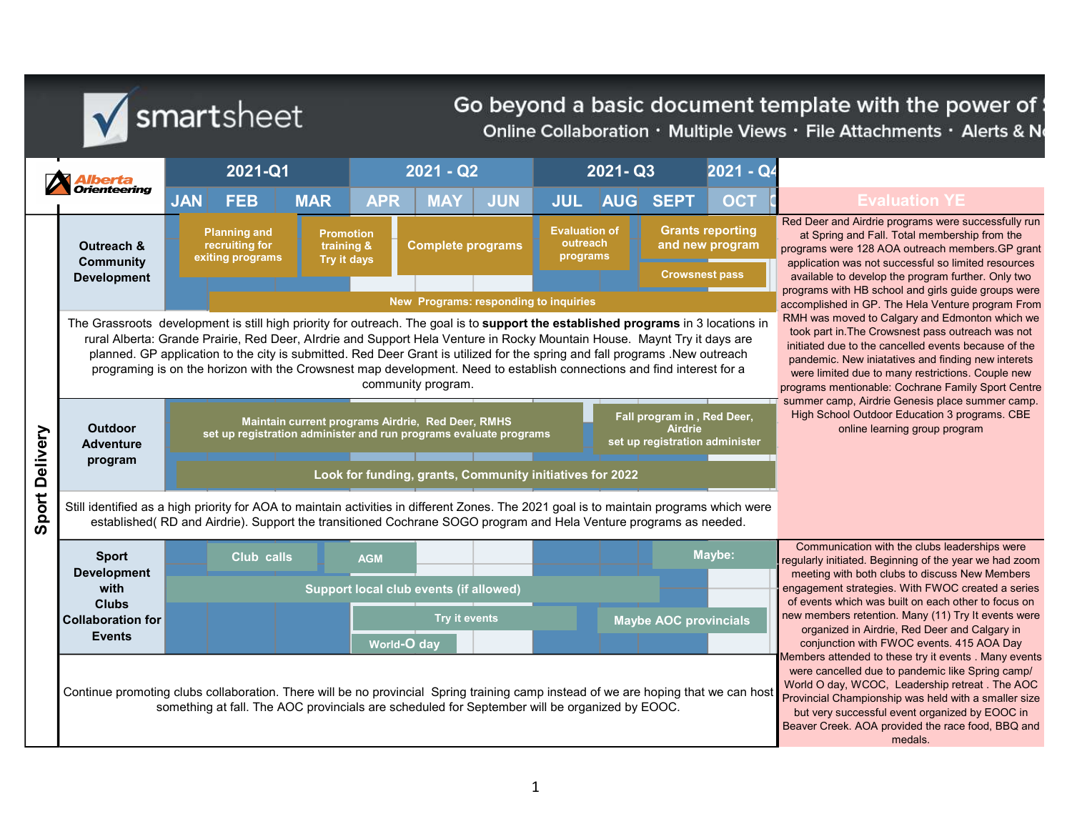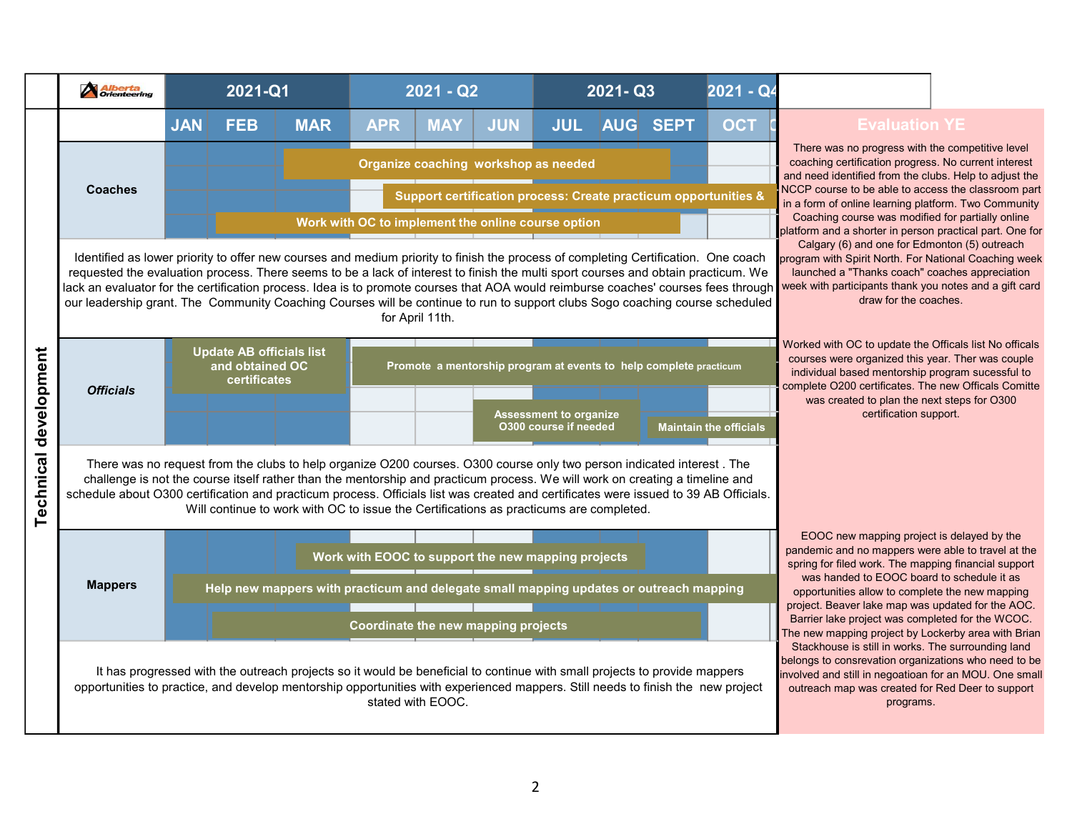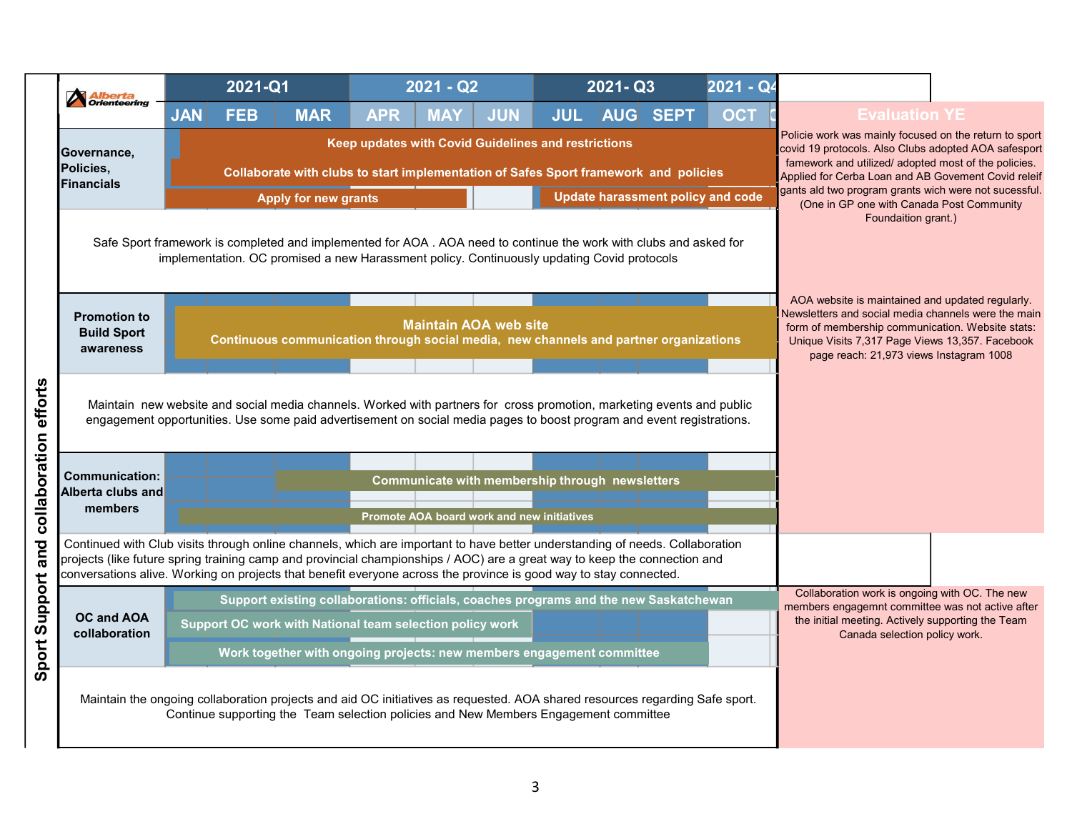|                                                        | 2021-Q1                                                                                                                                                                                                                                                                                                                                                                        |                                                                                       |                                                     | $\overline{2021} - \overline{Q2}$                                                             |            |            | $2021 - Q3$ |                                          | 2021 - Q4 |                                                                                                                                                                                                                               |
|--------------------------------------------------------|--------------------------------------------------------------------------------------------------------------------------------------------------------------------------------------------------------------------------------------------------------------------------------------------------------------------------------------------------------------------------------|---------------------------------------------------------------------------------------|-----------------------------------------------------|-----------------------------------------------------------------------------------------------|------------|------------|-------------|------------------------------------------|-----------|-------------------------------------------------------------------------------------------------------------------------------------------------------------------------------------------------------------------------------|
| <b>Alberta</b><br>Orienteering                         | <b>JAN</b><br><b>FEB</b>                                                                                                                                                                                                                                                                                                                                                       | <b>MAR</b>                                                                            | <b>APR</b>                                          | <b>MAY</b>                                                                                    | <b>JUN</b> | <b>JUL</b> | <b>AUG</b>  | <b>SEPT</b>                              | OCT       | <b>Evaluation YE</b>                                                                                                                                                                                                          |
| Governance,<br>Policies,                               |                                                                                                                                                                                                                                                                                                                                                                                | Collaborate with clubs to start implementation of Safes Sport framework and policies  | Keep updates with Covid Guidelines and restrictions |                                                                                               |            |            |             |                                          |           | Policie work was mainly focused on the return to sport<br>covid 19 protocols. Also Clubs adopted AOA safesport<br>famework and utilized/ adopted most of the policies.<br>Applied for Cerba Loan and AB Govement Covid releif |
| <b>Financials</b>                                      |                                                                                                                                                                                                                                                                                                                                                                                | <b>Apply for new grants</b>                                                           |                                                     |                                                                                               |            |            |             | <b>Update harassment policy and code</b> |           | gants ald two program grants wich were not sucessful.                                                                                                                                                                         |
|                                                        | Safe Sport framework is completed and implemented for AOA . AOA need to continue the work with clubs and asked for<br>implementation. OC promised a new Harassment policy. Continuously updating Covid protocols                                                                                                                                                               |                                                                                       |                                                     |                                                                                               |            |            |             |                                          |           | (One in GP one with Canada Post Community<br>Foundaition grant.)<br>AOA website is maintained and updated regularly.                                                                                                          |
| <b>Promotion to</b><br><b>Build Sport</b><br>awareness |                                                                                                                                                                                                                                                                                                                                                                                | Continuous communication through social media, new channels and partner organizations |                                                     | <b>Maintain AOA web site</b>                                                                  |            |            |             |                                          |           | Newsletters and social media channels were the main<br>form of membership communication. Website stats:<br>Unique Visits 7,317 Page Views 13,357. Facebook<br>page reach: 21,973 views Instagram 1008                         |
|                                                        | Maintain new website and social media channels. Worked with partners for cross promotion, marketing events and public<br>engagement opportunities. Use some paid advertisement on social media pages to boost program and event registrations.                                                                                                                                 |                                                                                       |                                                     |                                                                                               |            |            |             |                                          |           |                                                                                                                                                                                                                               |
| <b>Communication:</b><br>Alberta clubs and<br>members  |                                                                                                                                                                                                                                                                                                                                                                                |                                                                                       |                                                     | Communicate with membership through newsletters<br>Promote AOA board work and new initiatives |            |            |             |                                          |           |                                                                                                                                                                                                                               |
|                                                        | Continued with Club visits through online channels, which are important to have better understanding of needs. Collaboration<br>projects (like future spring training camp and provincial championships / AOC) are a great way to keep the connection and<br>conversations alive. Working on projects that benefit everyone across the province is good way to stay connected. |                                                                                       |                                                     |                                                                                               |            |            |             |                                          |           | Collaboration work is ongoing with OC. The new                                                                                                                                                                                |